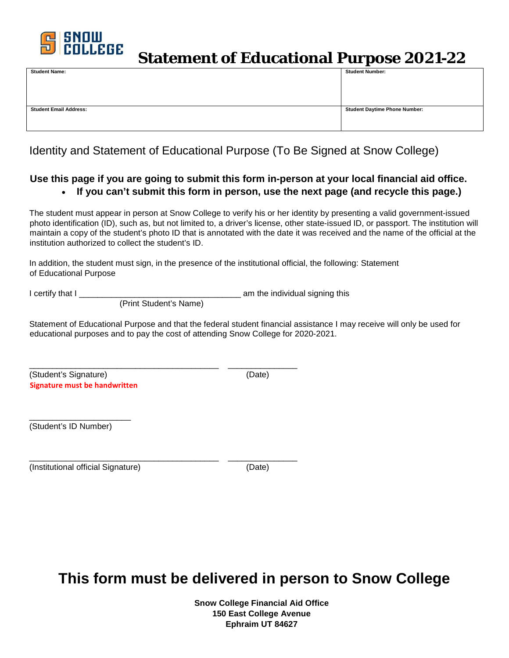

### **Statement of Educational Purpose 2021-22**

| <b>Student Name:</b>          | <b>Student Number:</b>               |
|-------------------------------|--------------------------------------|
|                               |                                      |
|                               |                                      |
|                               |                                      |
|                               |                                      |
| <b>Student Email Address:</b> | <b>Student Daytime Phone Number:</b> |
|                               |                                      |
|                               |                                      |
|                               |                                      |

#### Identity and Statement of Educational Purpose (To Be Signed at Snow College)

#### **Use this page if you are going to submit this form in-person at your local financial aid office.**  • **If you can't submit this form in person, use the next page (and recycle this page.)**

The student must appear in person at Snow College to verify his or her identity by presenting a valid government-issued photo identification (ID), such as, but not limited to, a driver's license, other state-issued ID, or passport. The institution will maintain a copy of the student's photo ID that is annotated with the date it was received and the name of the official at the institution authorized to collect the student's ID.

In addition, the student must sign, in the presence of the institutional official, the following: Statement of Educational Purpose

I certify that I \_\_\_\_\_\_\_\_\_\_\_\_\_\_\_\_\_\_\_\_\_\_\_\_\_\_\_\_\_\_\_\_\_\_\_ am the individual signing this

(Print Student's Name)

Statement of Educational Purpose and that the federal student financial assistance I may receive will only be used for educational purposes and to pay the cost of attending Snow College for 2020-2021.

(Student's Signature) (Date) **Signature must be handwritten** 

\_\_\_\_\_\_\_\_\_\_\_\_\_\_\_\_\_\_\_\_\_\_\_\_\_\_\_\_\_\_\_\_\_\_\_\_\_\_\_\_\_ \_\_\_\_\_\_\_\_\_\_\_\_\_\_\_

\_\_\_\_\_\_\_\_\_\_\_\_\_\_\_\_\_\_\_\_\_\_ (Student's ID Number)

\_\_\_\_\_\_\_\_\_\_\_\_\_\_\_\_\_\_\_\_\_\_\_\_\_\_\_\_\_\_\_\_\_\_\_\_\_\_\_\_\_ \_\_\_\_\_\_\_\_\_\_\_\_\_\_\_ (Institutional official Signature) (Date)

## **This form must be delivered in person to Snow College**

**Snow College Financial Aid Office 150 East College Avenue Ephraim UT 84627**